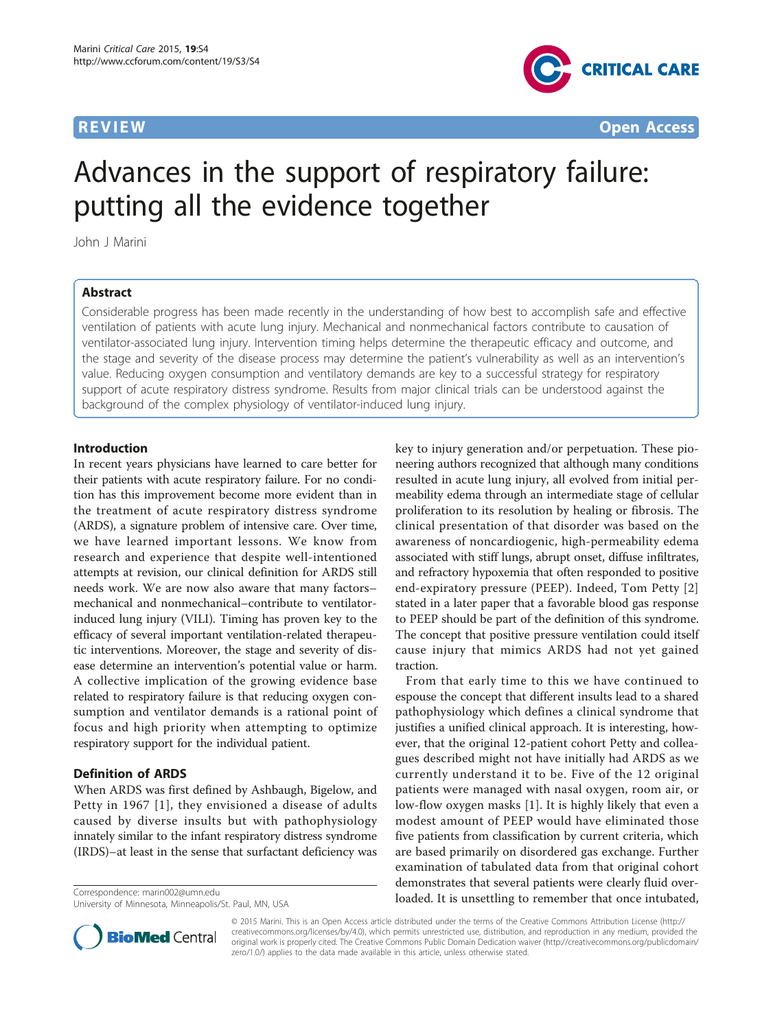

# Advances in the support of respiratory failure: putting all the evidence together

John J Marini

### Abstract

Considerable progress has been made recently in the understanding of how best to accomplish safe and effective ventilation of patients with acute lung injury. Mechanical and nonmechanical factors contribute to causation of ventilator-associated lung injury. Intervention timing helps determine the therapeutic efficacy and outcome, and the stage and severity of the disease process may determine the patient's vulnerability as well as an intervention's value. Reducing oxygen consumption and ventilatory demands are key to a successful strategy for respiratory support of acute respiratory distress syndrome. Results from major clinical trials can be understood against the background of the complex physiology of ventilator-induced lung injury.

### Introduction

In recent years physicians have learned to care better for their patients with acute respiratory failure. For no condition has this improvement become more evident than in the treatment of acute respiratory distress syndrome (ARDS), a signature problem of intensive care. Over time, we have learned important lessons. We know from research and experience that despite well-intentioned attempts at revision, our clinical definition for ARDS still needs work. We are now also aware that many factors– mechanical and nonmechanical–contribute to ventilatorinduced lung injury (VILI). Timing has proven key to the efficacy of several important ventilation-related therapeutic interventions. Moreover, the stage and severity of disease determine an intervention's potential value or harm. A collective implication of the growing evidence base related to respiratory failure is that reducing oxygen consumption and ventilator demands is a rational point of focus and high priority when attempting to optimize respiratory support for the individual patient.

### Definition of ARDS

When ARDS was first defined by Ashbaugh, Bigelow, and Petty in 1967 [[1\]](#page-5-0), they envisioned a disease of adults caused by diverse insults but with pathophysiology innately similar to the infant respiratory distress syndrome (IRDS)–at least in the sense that surfactant deficiency was

University of Minnesota, Minneapolis/St. Paul, MN, USA

key to injury generation and/or perpetuation. These pioneering authors recognized that although many conditions resulted in acute lung injury, all evolved from initial permeability edema through an intermediate stage of cellular proliferation to its resolution by healing or fibrosis. The clinical presentation of that disorder was based on the awareness of noncardiogenic, high-permeability edema associated with stiff lungs, abrupt onset, diffuse infiltrates, and refractory hypoxemia that often responded to positive end-expiratory pressure (PEEP). Indeed, Tom Petty [[2](#page-5-0)] stated in a later paper that a favorable blood gas response to PEEP should be part of the definition of this syndrome. The concept that positive pressure ventilation could itself cause injury that mimics ARDS had not yet gained traction.

From that early time to this we have continued to espouse the concept that different insults lead to a shared pathophysiology which defines a clinical syndrome that justifies a unified clinical approach. It is interesting, however, that the original 12-patient cohort Petty and colleagues described might not have initially had ARDS as we currently understand it to be. Five of the 12 original patients were managed with nasal oxygen, room air, or low-flow oxygen masks [[1\]](#page-5-0). It is highly likely that even a modest amount of PEEP would have eliminated those five patients from classification by current criteria, which are based primarily on disordered gas exchange. Further examination of tabulated data from that original cohort demonstrates that several patients were clearly fluid overCorrespondence: [marin002@umn.edu](mailto:marin002@umn.edu)<br>
loaded. It is unsettling to remember that once intubated,



© 2015 Marini. This is an Open Access article distributed under the terms of the Creative Commons Attribution License ([http://](http://creativecommons.org/licenses/by/4.0) [creativecommons.org/licenses/by/4.0](http://creativecommons.org/licenses/by/4.0)), which permits unrestricted use, distribution, and reproduction in any medium, provided the original work is properly cited. The Creative Commons Public Domain Dedication waiver ([http://creativecommons.org/publicdomain/](http://creativecommons.org/publicdomain/zero/1.0/) [zero/1.0/](http://creativecommons.org/publicdomain/zero/1.0/)) applies to the data made available in this article, unless otherwise stated.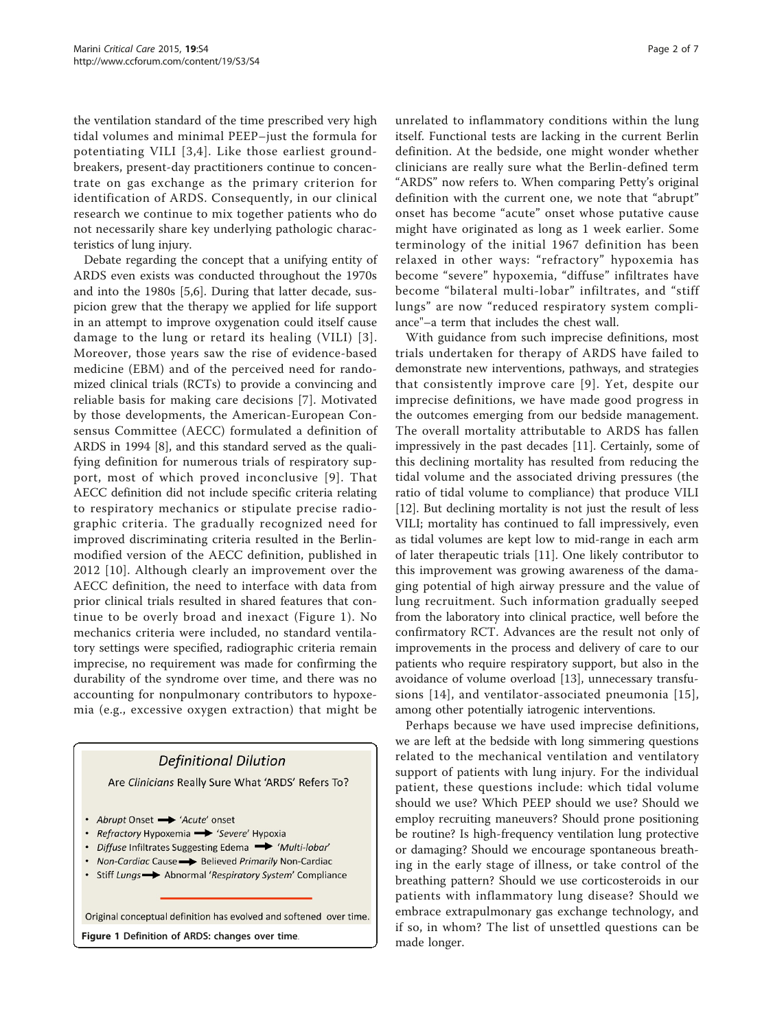the ventilation standard of the time prescribed very high tidal volumes and minimal PEEP–just the formula for potentiating VILI [[3,4\]](#page-5-0). Like those earliest groundbreakers, present-day practitioners continue to concentrate on gas exchange as the primary criterion for identification of ARDS. Consequently, in our clinical research we continue to mix together patients who do not necessarily share key underlying pathologic characteristics of lung injury.

Debate regarding the concept that a unifying entity of ARDS even exists was conducted throughout the 1970s and into the 1980s [[5,6\]](#page-5-0). During that latter decade, suspicion grew that the therapy we applied for life support in an attempt to improve oxygenation could itself cause damage to the lung or retard its healing (VILI) [[3\]](#page-5-0). Moreover, those years saw the rise of evidence-based medicine (EBM) and of the perceived need for randomized clinical trials (RCTs) to provide a convincing and reliable basis for making care decisions [[7](#page-5-0)]. Motivated by those developments, the American-European Consensus Committee (AECC) formulated a definition of ARDS in 1994 [\[8](#page-5-0)], and this standard served as the qualifying definition for numerous trials of respiratory support, most of which proved inconclusive [[9\]](#page-5-0). That AECC definition did not include specific criteria relating to respiratory mechanics or stipulate precise radiographic criteria. The gradually recognized need for improved discriminating criteria resulted in the Berlinmodified version of the AECC definition, published in 2012 [\[10\]](#page-5-0). Although clearly an improvement over the AECC definition, the need to interface with data from prior clinical trials resulted in shared features that continue to be overly broad and inexact (Figure 1). No mechanics criteria were included, no standard ventilatory settings were specified, radiographic criteria remain imprecise, no requirement was made for confirming the durability of the syndrome over time, and there was no accounting for nonpulmonary contributors to hypoxemia (e.g., excessive oxygen extraction) that might be

## **Definitional Dilution** Are Clinicians Really Sure What 'ARDS' Refers To? • Abrupt Onset - 'Acute' onset • Refractory Hypoxemia - 'Severe' Hypoxia • Diffuse Infiltrates Suggesting Edema • 'Multi-lobar' • Non-Cardiac Cause > Believed Primarily Non-Cardiac • Stiff Lungs -> Abnormal 'Respiratory System' Compliance Original conceptual definition has evolved and softened over time. Figure 1 Definition of ARDS: changes over time.<br>made longer.

unrelated to inflammatory conditions within the lung itself. Functional tests are lacking in the current Berlin definition. At the bedside, one might wonder whether clinicians are really sure what the Berlin-defined term "ARDS" now refers to. When comparing Petty's original definition with the current one, we note that "abrupt" onset has become "acute" onset whose putative cause might have originated as long as 1 week earlier. Some terminology of the initial 1967 definition has been relaxed in other ways: "refractory" hypoxemia has become "severe" hypoxemia, "diffuse" infiltrates have become "bilateral multi-lobar" infiltrates, and "stiff lungs" are now "reduced respiratory system compliance"–a term that includes the chest wall.

With guidance from such imprecise definitions, most trials undertaken for therapy of ARDS have failed to demonstrate new interventions, pathways, and strategies that consistently improve care [[9](#page-5-0)]. Yet, despite our imprecise definitions, we have made good progress in the outcomes emerging from our bedside management. The overall mortality attributable to ARDS has fallen impressively in the past decades [\[11](#page-5-0)]. Certainly, some of this declining mortality has resulted from reducing the tidal volume and the associated driving pressures (the ratio of tidal volume to compliance) that produce VILI [[12\]](#page-5-0). But declining mortality is not just the result of less VILI; mortality has continued to fall impressively, even as tidal volumes are kept low to mid-range in each arm of later therapeutic trials [[11\]](#page-5-0). One likely contributor to this improvement was growing awareness of the damaging potential of high airway pressure and the value of lung recruitment. Such information gradually seeped from the laboratory into clinical practice, well before the confirmatory RCT. Advances are the result not only of improvements in the process and delivery of care to our patients who require respiratory support, but also in the avoidance of volume overload [[13\]](#page-5-0), unnecessary transfusions [[14](#page-5-0)], and ventilator-associated pneumonia [[15\]](#page-5-0), among other potentially iatrogenic interventions.

Perhaps because we have used imprecise definitions, we are left at the bedside with long simmering questions related to the mechanical ventilation and ventilatory support of patients with lung injury. For the individual patient, these questions include: which tidal volume should we use? Which PEEP should we use? Should we employ recruiting maneuvers? Should prone positioning be routine? Is high-frequency ventilation lung protective or damaging? Should we encourage spontaneous breathing in the early stage of illness, or take control of the breathing pattern? Should we use corticosteroids in our patients with inflammatory lung disease? Should we embrace extrapulmonary gas exchange technology, and if so, in whom? The list of unsettled questions can be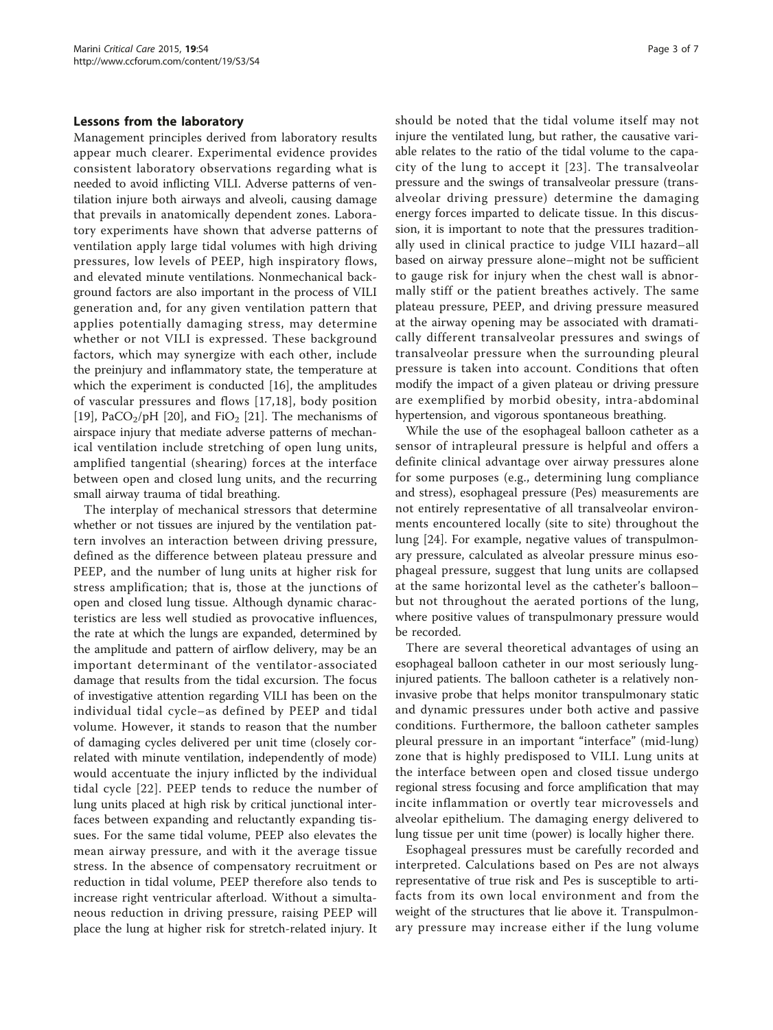### Lessons from the laboratory

Management principles derived from laboratory results appear much clearer. Experimental evidence provides consistent laboratory observations regarding what is needed to avoid inflicting VILI. Adverse patterns of ventilation injure both airways and alveoli, causing damage that prevails in anatomically dependent zones. Laboratory experiments have shown that adverse patterns of ventilation apply large tidal volumes with high driving pressures, low levels of PEEP, high inspiratory flows, and elevated minute ventilations. Nonmechanical background factors are also important in the process of VILI generation and, for any given ventilation pattern that applies potentially damaging stress, may determine whether or not VILI is expressed. These background factors, which may synergize with each other, include the preinjury and inflammatory state, the temperature at which the experiment is conducted [\[16](#page-6-0)], the amplitudes of vascular pressures and flows [\[17,18](#page-6-0)], body position [[19\]](#page-6-0), PaCO<sub>2</sub>/pH [[20\]](#page-6-0), and FiO<sub>2</sub> [\[21\]](#page-6-0). The mechanisms of airspace injury that mediate adverse patterns of mechanical ventilation include stretching of open lung units, amplified tangential (shearing) forces at the interface between open and closed lung units, and the recurring small airway trauma of tidal breathing.

The interplay of mechanical stressors that determine whether or not tissues are injured by the ventilation pattern involves an interaction between driving pressure, defined as the difference between plateau pressure and PEEP, and the number of lung units at higher risk for stress amplification; that is, those at the junctions of open and closed lung tissue. Although dynamic characteristics are less well studied as provocative influences, the rate at which the lungs are expanded, determined by the amplitude and pattern of airflow delivery, may be an important determinant of the ventilator-associated damage that results from the tidal excursion. The focus of investigative attention regarding VILI has been on the individual tidal cycle–as defined by PEEP and tidal volume. However, it stands to reason that the number of damaging cycles delivered per unit time (closely correlated with minute ventilation, independently of mode) would accentuate the injury inflicted by the individual tidal cycle [\[22\]](#page-6-0). PEEP tends to reduce the number of lung units placed at high risk by critical junctional interfaces between expanding and reluctantly expanding tissues. For the same tidal volume, PEEP also elevates the mean airway pressure, and with it the average tissue stress. In the absence of compensatory recruitment or reduction in tidal volume, PEEP therefore also tends to increase right ventricular afterload. Without a simultaneous reduction in driving pressure, raising PEEP will place the lung at higher risk for stretch-related injury. It should be noted that the tidal volume itself may not injure the ventilated lung, but rather, the causative variable relates to the ratio of the tidal volume to the capacity of the lung to accept it [[23\]](#page-6-0). The transalveolar pressure and the swings of transalveolar pressure (transalveolar driving pressure) determine the damaging energy forces imparted to delicate tissue. In this discussion, it is important to note that the pressures traditionally used in clinical practice to judge VILI hazard–all based on airway pressure alone–might not be sufficient to gauge risk for injury when the chest wall is abnormally stiff or the patient breathes actively. The same plateau pressure, PEEP, and driving pressure measured at the airway opening may be associated with dramatically different transalveolar pressures and swings of transalveolar pressure when the surrounding pleural pressure is taken into account. Conditions that often modify the impact of a given plateau or driving pressure are exemplified by morbid obesity, intra-abdominal hypertension, and vigorous spontaneous breathing.

While the use of the esophageal balloon catheter as a sensor of intrapleural pressure is helpful and offers a definite clinical advantage over airway pressures alone for some purposes (e.g., determining lung compliance and stress), esophageal pressure (Pes) measurements are not entirely representative of all transalveolar environments encountered locally (site to site) throughout the lung [\[24](#page-6-0)]. For example, negative values of transpulmonary pressure, calculated as alveolar pressure minus esophageal pressure, suggest that lung units are collapsed at the same horizontal level as the catheter's balloon– but not throughout the aerated portions of the lung, where positive values of transpulmonary pressure would be recorded.

There are several theoretical advantages of using an esophageal balloon catheter in our most seriously lunginjured patients. The balloon catheter is a relatively noninvasive probe that helps monitor transpulmonary static and dynamic pressures under both active and passive conditions. Furthermore, the balloon catheter samples pleural pressure in an important "interface" (mid-lung) zone that is highly predisposed to VILI. Lung units at the interface between open and closed tissue undergo regional stress focusing and force amplification that may incite inflammation or overtly tear microvessels and alveolar epithelium. The damaging energy delivered to lung tissue per unit time (power) is locally higher there.

Esophageal pressures must be carefully recorded and interpreted. Calculations based on Pes are not always representative of true risk and Pes is susceptible to artifacts from its own local environment and from the weight of the structures that lie above it. Transpulmonary pressure may increase either if the lung volume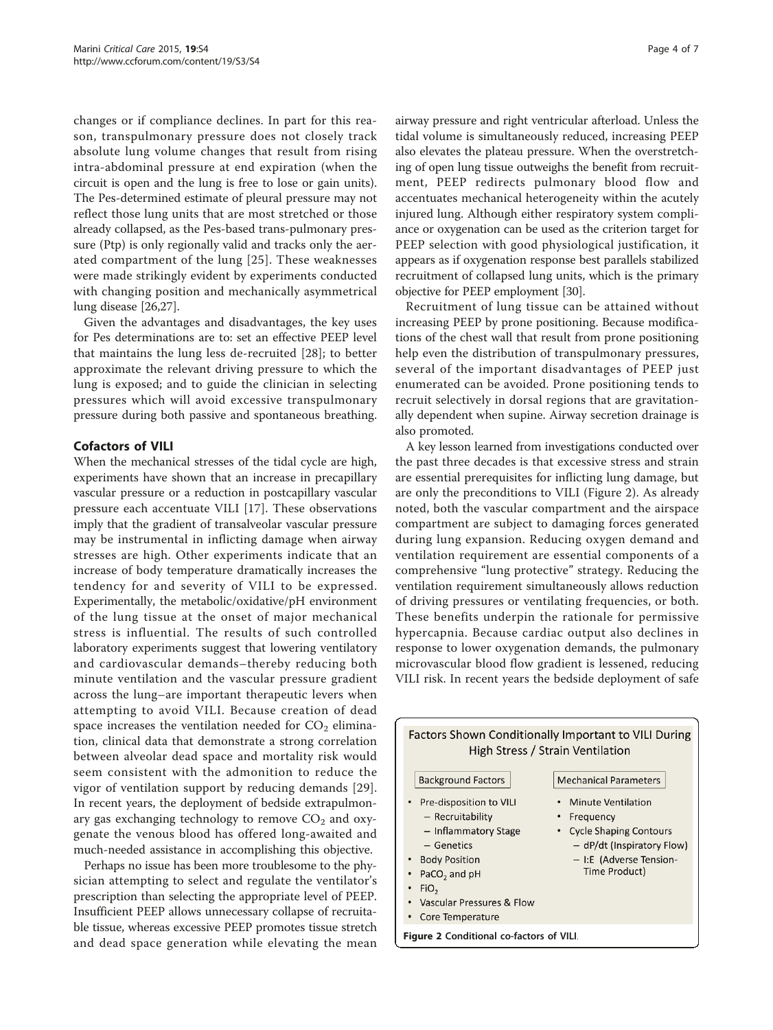changes or if compliance declines. In part for this reason, transpulmonary pressure does not closely track absolute lung volume changes that result from rising intra-abdominal pressure at end expiration (when the circuit is open and the lung is free to lose or gain units). The Pes-determined estimate of pleural pressure may not reflect those lung units that are most stretched or those already collapsed, as the Pes-based trans-pulmonary pressure (Ptp) is only regionally valid and tracks only the aerated compartment of the lung [[25](#page-6-0)]. These weaknesses were made strikingly evident by experiments conducted with changing position and mechanically asymmetrical lung disease [[26,27](#page-6-0)].

Given the advantages and disadvantages, the key uses for Pes determinations are to: set an effective PEEP level that maintains the lung less de-recruited [\[28](#page-6-0)]; to better approximate the relevant driving pressure to which the lung is exposed; and to guide the clinician in selecting pressures which will avoid excessive transpulmonary pressure during both passive and spontaneous breathing.

### Cofactors of VILI

When the mechanical stresses of the tidal cycle are high, experiments have shown that an increase in precapillary vascular pressure or a reduction in postcapillary vascular pressure each accentuate VILI [\[17](#page-6-0)]. These observations imply that the gradient of transalveolar vascular pressure may be instrumental in inflicting damage when airway stresses are high. Other experiments indicate that an increase of body temperature dramatically increases the tendency for and severity of VILI to be expressed. Experimentally, the metabolic/oxidative/pH environment of the lung tissue at the onset of major mechanical stress is influential. The results of such controlled laboratory experiments suggest that lowering ventilatory and cardiovascular demands–thereby reducing both minute ventilation and the vascular pressure gradient across the lung–are important therapeutic levers when attempting to avoid VILI. Because creation of dead space increases the ventilation needed for  $CO<sub>2</sub>$  elimination, clinical data that demonstrate a strong correlation between alveolar dead space and mortality risk would seem consistent with the admonition to reduce the vigor of ventilation support by reducing demands [[29](#page-6-0)]. In recent years, the deployment of bedside extrapulmonary gas exchanging technology to remove  $CO<sub>2</sub>$  and oxygenate the venous blood has offered long-awaited and much-needed assistance in accomplishing this objective.

Perhaps no issue has been more troublesome to the physician attempting to select and regulate the ventilator's prescription than selecting the appropriate level of PEEP. Insufficient PEEP allows unnecessary collapse of recruitable tissue, whereas excessive PEEP promotes tissue stretch and dead space generation while elevating the mean airway pressure and right ventricular afterload. Unless the tidal volume is simultaneously reduced, increasing PEEP also elevates the plateau pressure. When the overstretching of open lung tissue outweighs the benefit from recruitment, PEEP redirects pulmonary blood flow and accentuates mechanical heterogeneity within the acutely injured lung. Although either respiratory system compliance or oxygenation can be used as the criterion target for PEEP selection with good physiological justification, it appears as if oxygenation response best parallels stabilized recruitment of collapsed lung units, which is the primary objective for PEEP employment [\[30](#page-6-0)].

Recruitment of lung tissue can be attained without increasing PEEP by prone positioning. Because modifications of the chest wall that result from prone positioning help even the distribution of transpulmonary pressures, several of the important disadvantages of PEEP just enumerated can be avoided. Prone positioning tends to recruit selectively in dorsal regions that are gravitationally dependent when supine. Airway secretion drainage is also promoted.

A key lesson learned from investigations conducted over the past three decades is that excessive stress and strain are essential prerequisites for inflicting lung damage, but are only the preconditions to VILI (Figure 2). As already noted, both the vascular compartment and the airspace compartment are subject to damaging forces generated during lung expansion. Reducing oxygen demand and ventilation requirement are essential components of a comprehensive "lung protective" strategy. Reducing the ventilation requirement simultaneously allows reduction of driving pressures or ventilating frequencies, or both. These benefits underpin the rationale for permissive hypercapnia. Because cardiac output also declines in response to lower oxygenation demands, the pulmonary microvascular blood flow gradient is lessened, reducing VILI risk. In recent years the bedside deployment of safe

| <b>Factors Shown Conditionally Important to VILI During</b> |                               |
|-------------------------------------------------------------|-------------------------------|
| High Stress / Strain Ventilation                            |                               |
|                                                             |                               |
| <b>Background Factors</b>                                   | <b>Mechanical Parameters</b>  |
| Pre-disposition to VILI                                     | <b>Minute Ventilation</b>     |
| - Recruitability                                            | Frequency                     |
| - Inflammatory Stage                                        | <b>Cycle Shaping Contours</b> |
| - Genetics                                                  | - dP/dt (Inspiratory Flow)    |
| <b>Body Position</b>                                        | - I:E (Adverse Tension-       |
| PaCO <sub>2</sub> and pH                                    | Time Product)                 |
| FiO <sub>2</sub>                                            |                               |
| Vascular Pressures & Flow                                   |                               |
| Core Temperature                                            |                               |
| Figure 2 Conditional co-factors of VILI.                    |                               |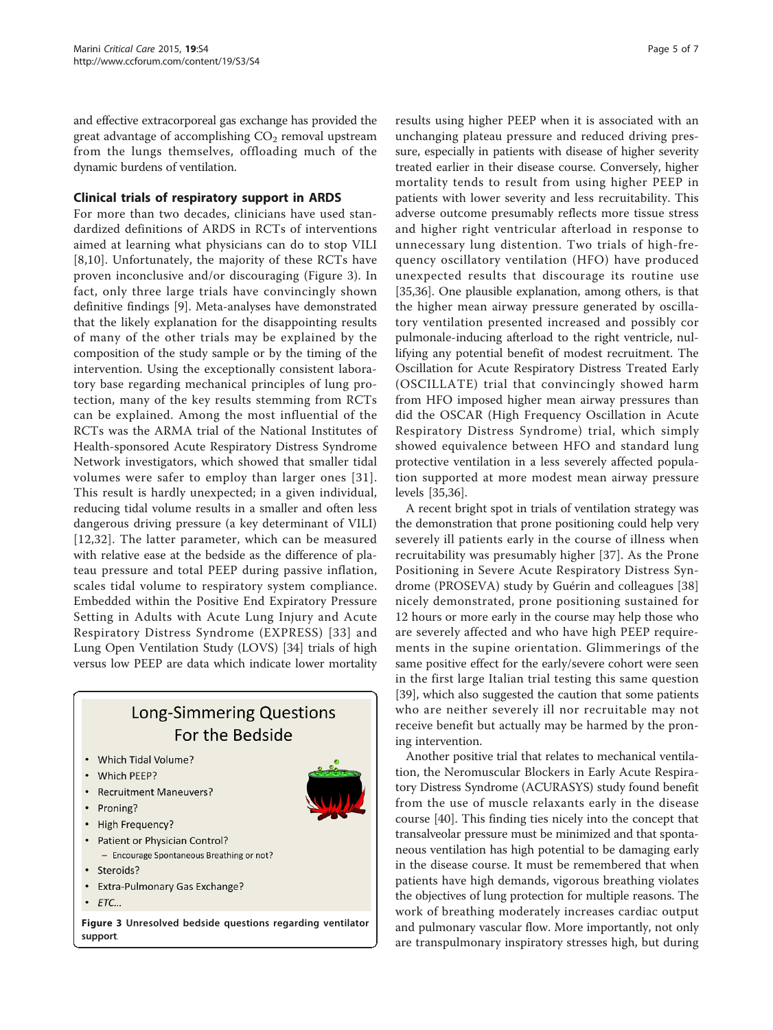and effective extracorporeal gas exchange has provided the great advantage of accomplishing  $CO<sub>2</sub>$  removal upstream from the lungs themselves, offloading much of the dynamic burdens of ventilation.

### Clinical trials of respiratory support in ARDS

For more than two decades, clinicians have used standardized definitions of ARDS in RCTs of interventions aimed at learning what physicians can do to stop VILI [[8,10\]](#page-5-0). Unfortunately, the majority of these RCTs have proven inconclusive and/or discouraging (Figure 3). In fact, only three large trials have convincingly shown definitive findings [\[9\]](#page-5-0). Meta-analyses have demonstrated that the likely explanation for the disappointing results of many of the other trials may be explained by the composition of the study sample or by the timing of the intervention. Using the exceptionally consistent laboratory base regarding mechanical principles of lung protection, many of the key results stemming from RCTs can be explained. Among the most influential of the RCTs was the ARMA trial of the National Institutes of Health-sponsored Acute Respiratory Distress Syndrome Network investigators, which showed that smaller tidal volumes were safer to employ than larger ones [[31\]](#page-6-0). This result is hardly unexpected; in a given individual, reducing tidal volume results in a smaller and often less dangerous driving pressure (a key determinant of VILI) [[12](#page-5-0),[32](#page-6-0)]. The latter parameter, which can be measured with relative ease at the bedside as the difference of plateau pressure and total PEEP during passive inflation, scales tidal volume to respiratory system compliance. Embedded within the Positive End Expiratory Pressure Setting in Adults with Acute Lung Injury and Acute Respiratory Distress Syndrome (EXPRESS) [[33](#page-6-0)] and Lung Open Ventilation Study (LOVS) [\[34\]](#page-6-0) trials of high versus low PEEP are data which indicate lower mortality

### **Long-Simmering Questions** For the Bedside

- Which Tidal Volume?
- Which PEEP?
- Recruitment Maneuvers?
- Proning?
- High Frequency?
- Patient or Physician Control? - Encourage Spontaneous Breathing or not?
- Steroids?
- Extra-Pulmonary Gas Exchange?
- $\cdot$   $ETC...$

Figure 3 Unresolved bedside questions regarding ventilator support.

results using higher PEEP when it is associated with an unchanging plateau pressure and reduced driving pressure, especially in patients with disease of higher severity treated earlier in their disease course. Conversely, higher mortality tends to result from using higher PEEP in patients with lower severity and less recruitability. This adverse outcome presumably reflects more tissue stress and higher right ventricular afterload in response to unnecessary lung distention. Two trials of high-frequency oscillatory ventilation (HFO) have produced unexpected results that discourage its routine use [[35,36\]](#page-6-0). One plausible explanation, among others, is that the higher mean airway pressure generated by oscillatory ventilation presented increased and possibly cor pulmonale-inducing afterload to the right ventricle, nullifying any potential benefit of modest recruitment. The Oscillation for Acute Respiratory Distress Treated Early (OSCILLATE) trial that convincingly showed harm from HFO imposed higher mean airway pressures than did the OSCAR (High Frequency Oscillation in Acute Respiratory Distress Syndrome) trial, which simply showed equivalence between HFO and standard lung protective ventilation in a less severely affected population supported at more modest mean airway pressure levels [\[35,36](#page-6-0)].

A recent bright spot in trials of ventilation strategy was the demonstration that prone positioning could help very severely ill patients early in the course of illness when recruitability was presumably higher [[37](#page-6-0)]. As the Prone Positioning in Severe Acute Respiratory Distress Syndrome (PROSEVA) study by Guérin and colleagues [\[38](#page-6-0)] nicely demonstrated, prone positioning sustained for 12 hours or more early in the course may help those who are severely affected and who have high PEEP requirements in the supine orientation. Glimmerings of the same positive effect for the early/severe cohort were seen in the first large Italian trial testing this same question [[39\]](#page-6-0), which also suggested the caution that some patients who are neither severely ill nor recruitable may not receive benefit but actually may be harmed by the proning intervention.

Another positive trial that relates to mechanical ventilation, the Neromuscular Blockers in Early Acute Respiratory Distress Syndrome (ACURASYS) study found benefit from the use of muscle relaxants early in the disease course [[40](#page-6-0)]. This finding ties nicely into the concept that transalveolar pressure must be minimized and that spontaneous ventilation has high potential to be damaging early in the disease course. It must be remembered that when patients have high demands, vigorous breathing violates the objectives of lung protection for multiple reasons. The work of breathing moderately increases cardiac output and pulmonary vascular flow. More importantly, not only are transpulmonary inspiratory stresses high, but during

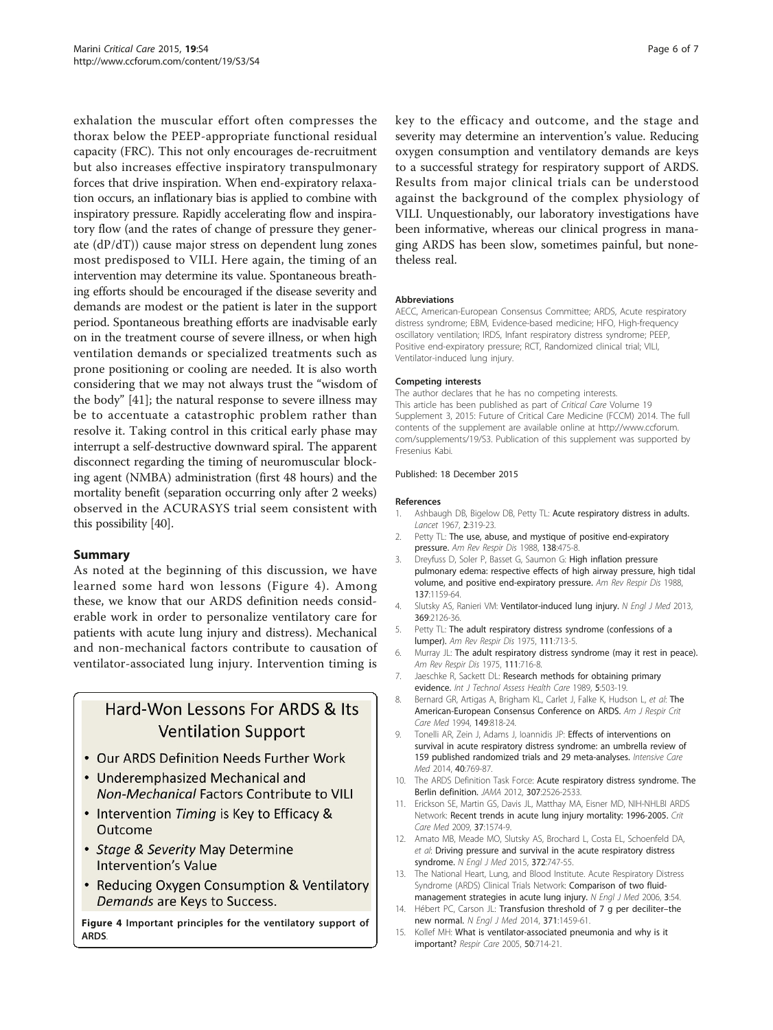<span id="page-5-0"></span>exhalation the muscular effort often compresses the thorax below the PEEP-appropriate functional residual capacity (FRC). This not only encourages de-recruitment but also increases effective inspiratory transpulmonary forces that drive inspiration. When end-expiratory relaxation occurs, an inflationary bias is applied to combine with inspiratory pressure. Rapidly accelerating flow and inspiratory flow (and the rates of change of pressure they generate (dP/dT)) cause major stress on dependent lung zones most predisposed to VILI. Here again, the timing of an intervention may determine its value. Spontaneous breathing efforts should be encouraged if the disease severity and demands are modest or the patient is later in the support period. Spontaneous breathing efforts are inadvisable early on in the treatment course of severe illness, or when high ventilation demands or specialized treatments such as prone positioning or cooling are needed. It is also worth considering that we may not always trust the "wisdom of the body" [[41\]](#page-6-0); the natural response to severe illness may be to accentuate a catastrophic problem rather than resolve it. Taking control in this critical early phase may interrupt a self-destructive downward spiral. The apparent disconnect regarding the timing of neuromuscular blocking agent (NMBA) administration (first 48 hours) and the mortality benefit (separation occurring only after 2 weeks) observed in the ACURASYS trial seem consistent with this possibility [\[40\]](#page-6-0).

### Summary

As noted at the beginning of this discussion, we have learned some hard won lessons (Figure 4). Among these, we know that our ARDS definition needs considerable work in order to personalize ventilatory care for patients with acute lung injury and distress). Mechanical and non-mechanical factors contribute to causation of ventilator-associated lung injury. Intervention timing is

### Hard-Won Lessons For ARDS & Its **Ventilation Support**

- Our ARDS Definition Needs Further Work
- Underemphasized Mechanical and **Non-Mechanical Factors Contribute to VILI**
- Intervention Timing is Key to Efficacy & Outcome
- Stage & Severity May Determine Intervention's Value
- Reducing Oxygen Consumption & Ventilatory Demands are Keys to Success.

Figure 4 Important principles for the ventilatory support of ARDS.

key to the efficacy and outcome, and the stage and severity may determine an intervention's value. Reducing oxygen consumption and ventilatory demands are keys to a successful strategy for respiratory support of ARDS. Results from major clinical trials can be understood against the background of the complex physiology of VILI. Unquestionably, our laboratory investigations have been informative, whereas our clinical progress in managing ARDS has been slow, sometimes painful, but nonetheless real.

### Abbreviations

AECC, American-European Consensus Committee; ARDS, Acute respiratory distress syndrome; EBM, Evidence-based medicine; HFO, High-frequency oscillatory ventilation; IRDS, Infant respiratory distress syndrome; PEEP, Positive end-expiratory pressure; RCT, Randomized clinical trial; VILI, Ventilator-induced lung injury.

### Competing interests

The author declares that he has no competing interests. This article has been published as part of Critical Care Volume 19 Supplement 3, 2015: Future of Critical Care Medicine (FCCM) 2014. The full contents of the supplement are available online at [http://www.ccforum.](http://www.ccforum.com/supplements/19/S3) [com/supplements/19/S3](http://www.ccforum.com/supplements/19/S3). Publication of this supplement was supported by Fresenius Kabi.

### Published: 18 December 2015

#### References

- 1. Ashbaugh DB, Bigelow DB, Petty TL: Acute respiratory distress in adults. Lancet 1967, 2:319-23.
- 2. Petty TL: The use, abuse, and mystique of positive end-expiratory pressure. Am Rev Respir Dis 1988, 138:475-8.
- 3. Dreyfuss D, Soler P, Basset G, Saumon G: High inflation pressure pulmonary edema: respective effects of high airway pressure, high tidal volume, and positive end-expiratory pressure. Am Rev Respir Dis 1988, 137:1159-64.
- 4. Slutsky AS, Ranieri VM: Ventilator-induced lung injury. N Engl J Med 2013, 369:2126-36.
- 5. Petty TL: The adult respiratory distress syndrome (confessions of a lumper). Am Rev Respir Dis 1975, 111:713-5.
- 6. Murray JL: The adult respiratory distress syndrome (may it rest in peace). Am Rev Respir Dis 1975, 111:716-8.
- 7. Jaeschke R, Sackett DL: Research methods for obtaining primary evidence. Int J Technol Assess Health Care 1989, 5:503-19.
- 8. Bernard GR, Artigas A, Brigham KL, Carlet J, Falke K, Hudson L, et al: The American-European Consensus Conference on ARDS. Am J Respir Crit Care Med 1994, 149:818-24.
- 9. Tonelli AR, Zein J, Adams J, Ioannidis JP: Effects of interventions on survival in acute respiratory distress syndrome: an umbrella review of 159 published randomized trials and 29 meta-analyses. Intensive Care Med 2014, 40:769-87.
- 10. The ARDS Definition Task Force: Acute respiratory distress syndrome. The Berlin definition. JAMA 2012, 307:2526-2533.
- 11. Erickson SE, Martin GS, Davis JL, Matthay MA, Eisner MD, NIH-NHLBI ARDS Network: Recent trends in acute lung injury mortality: 1996-2005. Crit Care Med 2009, 37:1574-9.
- 12. Amato MB, Meade MO, Slutsky AS, Brochard L, Costa EL, Schoenfeld DA, et al: Driving pressure and survival in the acute respiratory distress syndrome. N Engl J Med 2015, 372:747-55.
- 13. The National Heart, Lung, and Blood Institute. Acute Respiratory Distress Syndrome (ARDS) Clinical Trials Network: Comparison of two fluidmanagement strategies in acute lung injury. N Engl J Med 2006, 3:54.
- 14. Hébert PC, Carson JL: Transfusion threshold of 7 g per deciliter-the new normal. N Engl J Med 2014, 371:1459-61.
- 15. Kollef MH: What is ventilator-associated pneumonia and why is it important? Respir Care 2005, 50:714-21.